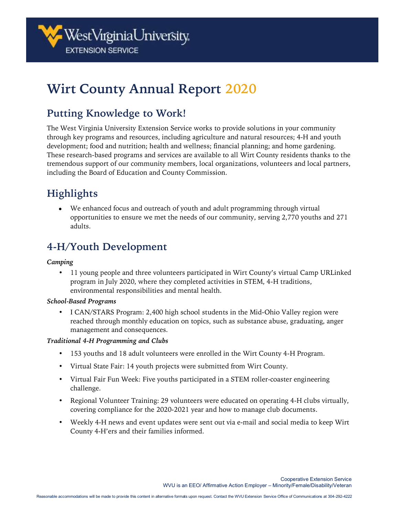

# **Wirt County Annual Report 2020**

## **Putting Knowledge to Work!**

The West Virginia University Extension Service works to provide solutions in your community through key programs and resources, including agriculture and natural resources; 4-H and youth development; food and nutrition; health and wellness; financial planning; and home gardening. These research-based programs and services are available to all Wirt County residents thanks to the tremendous support of our community members, local organizations, volunteers and local partners, including the Board of Education and County Commission.

## **Highlights**

• We enhanced focus and outreach of youth and adult programming through virtual opportunities to ensure we met the needs of our community, serving 2,770 youths and 271 adults.

## **4-H/Youth Development**

#### *Camping*

• 11 young people and three volunteers participated in Wirt County's virtual Camp URLinked program in July 2020, where they completed activities in STEM, 4-H traditions, environmental responsibilities and mental health.

#### *School-Based Programs*

• I CAN/STARS Program: 2,400 high school students in the Mid-Ohio Valley region were reached through monthly education on topics, such as substance abuse, graduating, anger management and consequences.

#### *Traditional 4-H Programming and Clubs*

- 153 youths and 18 adult volunteers were enrolled in the Wirt County 4-H Program.
- Virtual State Fair: 14 youth projects were submitted from Wirt County.
- Virtual Fair Fun Week: Five youths participated in a STEM roller-coaster engineering challenge.
- Regional Volunteer Training: 29 volunteers were educated on operating 4-H clubs virtually, covering compliance for the 2020-2021 year and how to manage club documents.
- Weekly 4-H news and event updates were sent out via e-mail and social media to keep Wirt County 4-H'ers and their families informed.